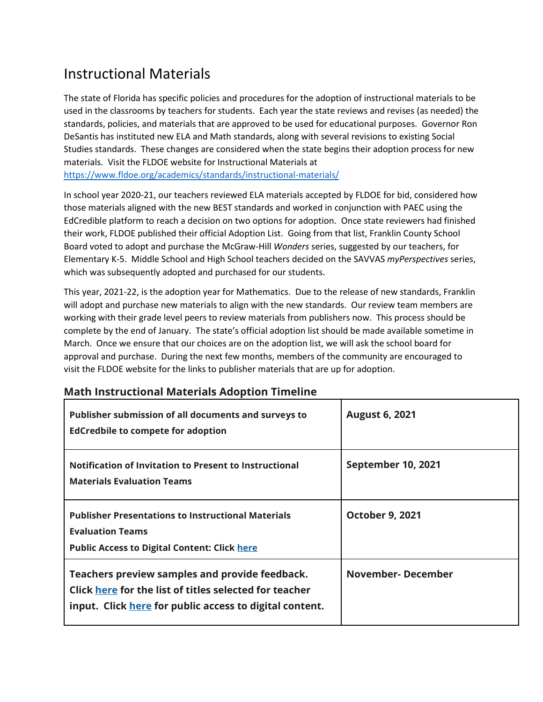## Instructional Materials

The state of Florida has specific policies and procedures for the adoption of instructional materials to be used in the classrooms by teachers for students. Each year the state reviews and revises (as needed) the standards, policies, and materials that are approved to be used for educational purposes. Governor Ron DeSantis has instituted new ELA and Math standards, along with several revisions to existing Social Studies standards. These changes are considered when the state begins their adoption process for new materials. Visit the FLDOE website for Instructional Materials at <https://www.fldoe.org/academics/standards/instructional-materials/>

In school year 2020-21, our teachers reviewed ELA materials accepted by FLDOE for bid, considered how those materials aligned with the new BEST standards and worked in conjunction with PAEC using the EdCredible platform to reach a decision on two options for adoption. Once state reviewers had finished their work, FLDOE published their official Adoption List. Going from that list, Franklin County School Board voted to adopt and purchase the McGraw-Hill *Wonders* series, suggested by our teachers, for Elementary K-5. Middle School and High School teachers decided on the SAVVAS *myPerspectives* series, which was subsequently adopted and purchased for our students.

This year, 2021-22, is the adoption year for Mathematics. Due to the release of new standards, Franklin will adopt and purchase new materials to align with the new standards. Our review team members are working with their grade level peers to review materials from publishers now. This process should be complete by the end of January. The state's official adoption list should be made available sometime in March. Once we ensure that our choices are on the adoption list, we will ask the school board for approval and purchase. During the next few months, members of the community are encouraged to visit the FLDOE website for the links to publisher materials that are up for adoption.

## **Math Instructional Materials Adoption Timeline**

| Publisher submission of all documents and surveys to<br><b>EdCredbile to compete for adoption</b>                                                                   | <b>August 6, 2021</b>     |
|---------------------------------------------------------------------------------------------------------------------------------------------------------------------|---------------------------|
| Notification of Invitation to Present to Instructional<br><b>Materials Evaluation Teams</b>                                                                         | <b>September 10, 2021</b> |
| <b>Publisher Presentations to Instructional Materials</b><br><b>Evaluation Teams</b><br><b>Public Access to Digital Content: Click here</b>                         | <b>October 9, 2021</b>    |
| Teachers preview samples and provide feedback.<br>Click here for the list of titles selected for teacher<br>input. Click here for public access to digital content. | <b>November-December</b>  |